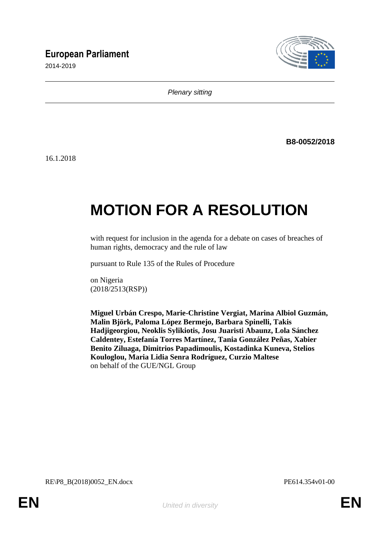# **European Parliament**

2014-2019



*Plenary sitting*

**B8-0052/2018**

16.1.2018

# **MOTION FOR A RESOLUTION**

with request for inclusion in the agenda for a debate on cases of breaches of human rights, democracy and the rule of law

pursuant to Rule 135 of the Rules of Procedure

on Nigeria (2018/2513(RSP))

**Miguel Urbán Crespo, Marie-Christine Vergiat, Marina Albiol Guzmán, Malin Björk, Paloma López Bermejo, Barbara Spinelli, Takis Hadjigeorgiou, Neoklis Sylikiotis, Josu Juaristi Abaunz, Lola Sánchez Caldentey, Estefanía Torres Martínez, Tania González Peñas, Xabier Benito Ziluaga, Dimitrios Papadimoulis, Kostadinka Kuneva, Stelios Kouloglou, Maria Lidia Senra Rodríguez, Curzio Maltese** on behalf of the GUE/NGL Group

RE\P8\_B(2018)0052\_EN.docx PE614.354v01-00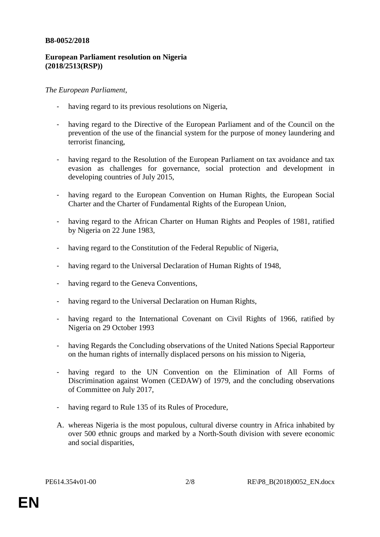#### **B8-0052/2018**

## **European Parliament resolution on Nigeria (2018/2513(RSP))**

## *The European Parliament*,

- having regard to its previous resolutions on Nigeria,
- having regard to the Directive of the European Parliament and of the Council on the prevention of the use of the financial system for the purpose of money laundering and terrorist financing,
- having regard to the Resolution of the European Parliament on tax avoidance and tax evasion as challenges for governance, social protection and development in developing countries of July 2015,
- having regard to the European Convention on Human Rights, the European Social Charter and the Charter of Fundamental Rights of the European Union,
- having regard to the African Charter on Human Rights and Peoples of 1981, ratified by Nigeria on 22 June 1983,
- having regard to the Constitution of the Federal Republic of Nigeria,
- having regard to the Universal Declaration of Human Rights of 1948,
- having regard to the Geneva Conventions,
- having regard to the Universal Declaration on Human Rights,
- having regard to the International Covenant on Civil Rights of 1966, ratified by Nigeria on 29 October 1993
- having Regards the Concluding observations of the United Nations Special Rapporteur on the human rights of internally displaced persons on his mission to Nigeria,
- having regard to the UN Convention on the Elimination of All Forms of Discrimination against Women (CEDAW) of 1979, and the concluding observations of Committee on July 2017,
- having regard to Rule 135 of its Rules of Procedure,
- A. whereas Nigeria is the most populous, cultural diverse country in Africa inhabited by over 500 ethnic groups and marked by a North-South division with severe economic and social disparities,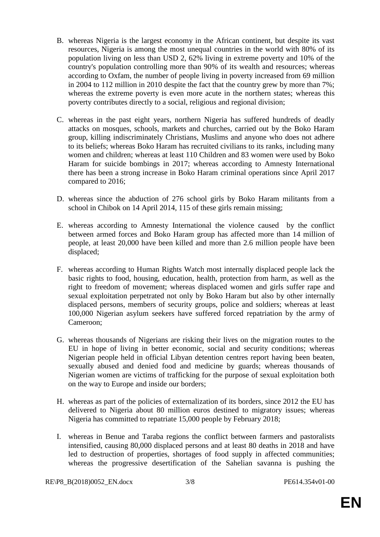- B. whereas Nigeria is the largest economy in the African continent, but despite its vast resources, Nigeria is among the most unequal countries in the world with 80% of its population living on less than USD 2, 62% living in extreme poverty and 10% of the country's population controlling more than 90% of its wealth and resources; whereas according to Oxfam, the number of people living in poverty increased from 69 million in 2004 to 112 million in 2010 despite the fact that the country grew by more than 7%; whereas the extreme poverty is even more acute in the northern states; whereas this poverty contributes directly to a social, religious and regional division;
- C. whereas in the past eight years, northern Nigeria has suffered hundreds of deadly attacks on mosques, schools, markets and churches, carried out by the Boko Haram group, killing indiscriminately Christians, Muslims and anyone who does not adhere to its beliefs; whereas Boko Haram has recruited civilians to its ranks, including many women and children; whereas at least 110 Children and 83 women were used by Boko Haram for suicide bombings in 2017; whereas according to Amnesty International there has been a strong increase in Boko Haram criminal operations since April 2017 compared to 2016;
- D. whereas since the abduction of 276 school girls by Boko Haram militants from a school in Chibok on 14 April 2014, 115 of these girls remain missing;
- E. whereas according to Amnesty International the violence caused by the conflict between armed forces and Boko Haram group has affected more than 14 million of people, at least 20,000 have been killed and more than 2.6 million people have been displaced;
- F. whereas according to Human Rights Watch most internally displaced people lack the basic rights to food, housing, education, health, protection from harm, as well as the right to freedom of movement; whereas displaced women and girls suffer rape and sexual exploitation perpetrated not only by Boko Haram but also by other internally displaced persons, members of security groups, police and soldiers; whereas at least 100,000 Nigerian asylum seekers have suffered forced repatriation by the army of Cameroon;
- G. whereas thousands of Nigerians are risking their lives on the migration routes to the EU in hope of living in better economic, social and security conditions; whereas Nigerian people held in official Libyan detention centres report having been beaten, sexually abused and denied food and medicine by guards; whereas thousands of Nigerian women are victims of trafficking for the purpose of sexual exploitation both on the way to Europe and inside our borders;
- H. whereas as part of the policies of externalization of its borders, since 2012 the EU has delivered to Nigeria about 80 million euros destined to migratory issues; whereas Nigeria has committed to repatriate 15,000 people by February 2018;
- I. whereas in Benue and Taraba regions the conflict between farmers and pastoralists intensified, causing 80,000 displaced persons and at least 80 deaths in 2018 and have led to destruction of properties, shortages of food supply in affected communities; whereas the progressive desertification of the Sahelian savanna is pushing the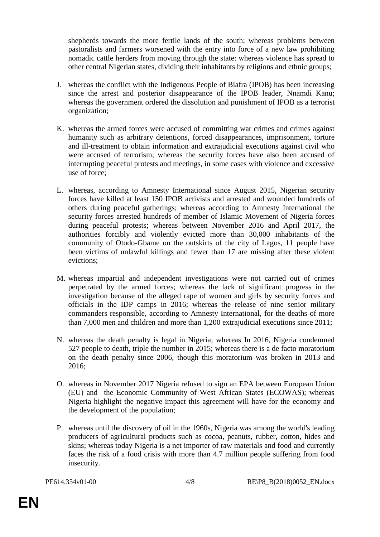shepherds towards the more fertile lands of the south; whereas problems between pastoralists and farmers worsened with the entry into force of a new law prohibiting nomadic cattle herders from moving through the state: whereas violence has spread to other central Nigerian states, dividing their inhabitants by religions and ethnic groups;

- J. whereas the conflict with the Indigenous People of Biafra (IPOB) has been increasing since the arrest and posterior disappearance of the IPOB leader, Nnamdi Kanu; whereas the government ordered the dissolution and punishment of IPOB as a terrorist organization;
- K. whereas the armed forces were accused of committing war crimes and crimes against humanity such as arbitrary detentions, forced disappearances, imprisonment, torture and ill-treatment to obtain information and extrajudicial executions against civil who were accused of terrorism; whereas the security forces have also been accused of interrupting peaceful protests and meetings, in some cases with violence and excessive use of force;
- L. whereas, according to Amnesty International since August 2015, Nigerian security forces have killed at least 150 IPOB activists and arrested and wounded hundreds of others during peaceful gatherings; whereas according to Amnesty International the security forces arrested hundreds of member of Islamic Movement of Nigeria forces during peaceful protests; whereas between November 2016 and April 2017, the authorities forcibly and violently evicted more than 30,000 inhabitants of the community of Otodo-Gbame on the outskirts of the city of Lagos, 11 people have been victims of unlawful killings and fewer than 17 are missing after these violent evictions;
- M. whereas impartial and independent investigations were not carried out of crimes perpetrated by the armed forces; whereas the lack of significant progress in the investigation because of the alleged rape of women and girls by security forces and officials in the IDP camps in 2016; whereas the release of nine senior military commanders responsible, according to Amnesty International, for the deaths of more than 7,000 men and children and more than 1,200 extrajudicial executions since 2011;
- N. whereas the death penalty is legal in Nigeria; whereas In 2016, Nigeria condemned 527 people to death, triple the number in 2015; whereas there is a de facto moratorium on the death penalty since 2006, though this moratorium was broken in 2013 and 2016;
- O. whereas in November 2017 Nigeria refused to sign an EPA between European Union (EU) and the Economic Community of West African States (ECOWAS); whereas Nigeria highlight the negative impact this agreement will have for the economy and the development of the population;
- P. whereas until the discovery of oil in the 1960s, Nigeria was among the world's leading producers of agricultural products such as cocoa, peanuts, rubber, cotton, hides and skins; whereas today Nigeria is a net importer of raw materials and food and currently faces the risk of a food crisis with more than 4.7 million people suffering from food insecurity.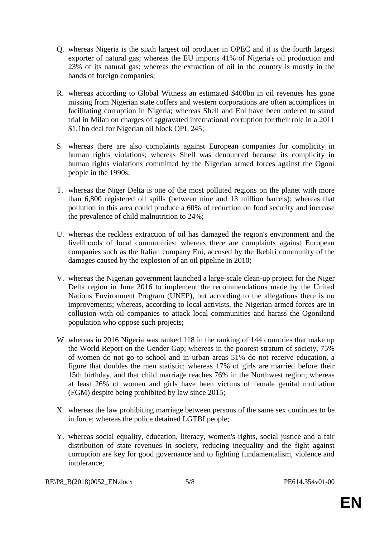- Q. whereas Nigeria is the sixth largest oil producer in OPEC and it is the fourth largest exporter of natural gas; whereas the EU imports 41% of Nigeria's oil production and 23% of its natural gas; whereas the extraction of oil in the country is mostly in the hands of foreign companies;
- R. whereas according to Global Witness an estimated \$400bn in oil revenues has gone missing from Nigerian state coffers and western corporations are often accomplices in facilitating corruption in Nigeria; whereas Shell and Eni have been ordered to stand trial in Milan on charges of aggravated international corruption for their role in a 2011 \$1.1bn deal for Nigerian oil block OPL 245;
- S. whereas there are also complaints against European companies for complicity in human rights violations; whereas Shell was denounced because its complicity in human rights violations committed by the Nigerian armed forces against the Ogoni people in the 1990s;
- T. whereas the Niger Delta is one of the most polluted regions on the planet with more than 6,800 registered oil spills (between nine and 13 million barrels); whereas that pollution in this area could produce a 60% of reduction on food security and increase the prevalence of child malnutrition to 24%;
- U. whereas the reckless extraction of oil has damaged the region's environment and the livelihoods of local communities; whereas there are complaints against European companies such as the Italian company Eni, accused by the Ikebiri community of the damages caused by the explosion of an oil pipeline in 2010;
- V. whereas the Nigerian government launched a large-scale clean-up project for the Niger Delta region in June 2016 to implement the recommendations made by the United Nations Environment Program (UNEP), but according to the allegations there is no improvements; whereas, according to local activists, the Nigerian armed forces are in collusion with oil companies to attack local communities and harass the Ogoniland population who oppose such projects;
- W. whereas in 2016 Nigeria was ranked 118 in the ranking of 144 countries that make up the World Report on the Gender Gap; whereas in the poorest stratum of society, 75% of women do not go to school and in urban areas 51% do not receive education, a figure that doubles the men statistic; whereas 17% of girls are married before their 15th birthday, and that child marriage reaches 76% in the Northwest region; whereas at least 26% of women and girls have been victims of female genital mutilation (FGM) despite being prohibited by law since 2015;
- X. whereas the law prohibiting marriage between persons of the same sex continues to be in force; whereas the police detained LGTBI people;
- Y. whereas social equality, education, literacy, women's rights, social justice and a fair distribution of state revenues in society, reducing inequality and the fight against corruption are key for good governance and to fighting fundamentalism, violence and intolerance;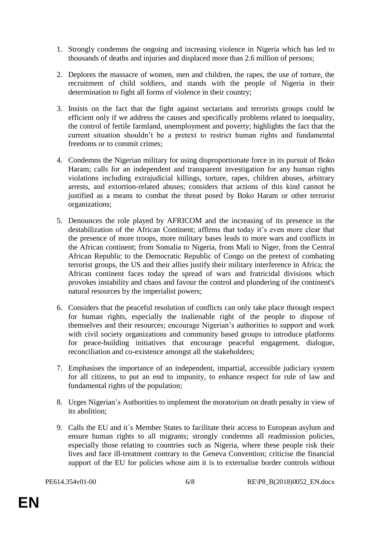- 1. Strongly condemns the ongoing and increasing violence in Nigeria which has led to thousands of deaths and injuries and displaced more than 2.6 million of persons;
- 2. Deplores the massacre of women, men and children, the rapes, the use of torture, the recruitment of child soldiers, and stands with the people of Nigeria in their determination to fight all forms of violence in their country;
- 3. Insists on the fact that the fight against sectarians and terrorists groups could be efficient only if we address the causes and specifically problems related to inequality, the control of fertile farmland, unemployment and poverty; highlights the fact that the current situation shouldn't be a pretext to restrict human rights and fundamental freedoms or to commit crimes;
- 4. Condemns the Nigerian military for using disproportionate force in its pursuit of Boko Haram; calls for an independent and transparent investigation for any human rights violations including extrajudicial killings, torture, rapes, children abuses, arbitrary arrests, and extortion-related abuses; considers that actions of this kind cannot be justified as a means to combat the threat posed by Boko Haram or other terrorist organizations;
- 5. Denounces the role played by AFRICOM and the increasing of its presence in the destabilization of the African Continent; affirms that today it's even more clear that the presence of more troops, more military bases leads to more wars and conflicts in the African continent; from Somalia to Nigeria, from Mali to Niger, from the Central African Republic to the Democratic Republic of Congo on the pretext of combating terrorist groups, the US and their allies justify their military interference in Africa; the African continent faces today the spread of wars and fratricidal divisions which provokes instability and chaos and favour the control and plundering of the continent's natural resources by the imperialist powers;
- 6. Considers that the peaceful resolution of conflicts can only take place through respect for human rights, especially the inalienable right of the people to dispose of themselves and their resources; encourage Nigerian's authorities to support and work with civil society organizations and community based groups to introduce platforms for peace-building initiatives that encourage peaceful engagement, dialogue, reconciliation and co-existence amongst all the stakeholders;
- 7. Emphasises the importance of an independent, impartial, accessible judiciary system for all citizens, to put an end to impunity, to enhance respect for rule of law and fundamental rights of the population;
- 8. Urges Nigerian's Authorities to implement the moratorium on death penalty in view of its abolition;
- 9. Calls the EU and it´s Member States to facilitate their access to European asylum and ensure human rights to all migrants; strongly condemns all readmission policies, especially those relating to countries such as Nigeria, where these people risk their lives and face ill-treatment contrary to the Geneva Convention; criticise the financial support of the EU for policies whose aim it is to externalise border controls without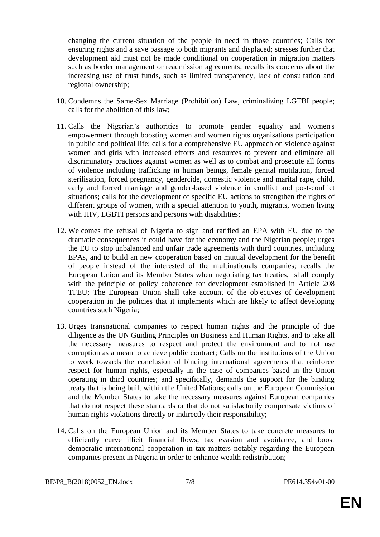changing the current situation of the people in need in those countries; Calls for ensuring rights and a save passage to both migrants and displaced; stresses further that development aid must not be made conditional on cooperation in migration matters such as border management or readmission agreements; recalls its concerns about the increasing use of trust funds, such as limited transparency, lack of consultation and regional ownership;

- 10. Condemns the Same-Sex Marriage (Prohibition) Law, criminalizing LGTBI people; calls for the abolition of this law;
- 11. Calls the Nigerian's authorities to promote gender equality and women's empowerment through boosting women and women rights organisations participation in public and political life; calls for a comprehensive EU approach on violence against women and girls with increased efforts and resources to prevent and eliminate all discriminatory practices against women as well as to combat and prosecute all forms of violence including trafficking in human beings, female genital mutilation, forced sterilisation, forced pregnancy, gendercide, domestic violence and marital rape, child, early and forced marriage and gender-based violence in conflict and post-conflict situations; calls for the development of specific EU actions to strengthen the rights of different groups of women, with a special attention to youth, migrants, women living with HIV, LGBTI persons and persons with disabilities;
- 12. Welcomes the refusal of Nigeria to sign and ratified an EPA with EU due to the dramatic consequences it could have for the economy and the Nigerian people; urges the EU to stop unbalanced and unfair trade agreements with third countries, including EPAs, and to build an new cooperation based on mutual development for the benefit of people instead of the interested of the multinationals companies; recalls the European Union and its Member States when negotiating tax treaties, shall comply with the principle of policy coherence for development established in Article 208 TFEU; The European Union shall take account of the objectives of development cooperation in the policies that it implements which are likely to affect developing countries such Nigeria;
- 13. Urges transnational companies to respect human rights and the principle of due diligence as the UN Guiding Principles on Business and Human Rights, and to take all the necessary measures to respect and protect the environment and to not use corruption as a mean to achieve public contract; Calls on the institutions of the Union to work towards the conclusion of binding international agreements that reinforce respect for human rights, especially in the case of companies based in the Union operating in third countries; and specifically, demands the support for the binding treaty that is being built within the United Nations; calls on the European Commission and the Member States to take the necessary measures against European companies that do not respect these standards or that do not satisfactorily compensate victims of human rights violations directly or indirectly their responsibility;
- 14. Calls on the European Union and its Member States to take concrete measures to efficiently curve illicit financial flows, tax evasion and avoidance, and boost democratic international cooperation in tax matters notably regarding the European companies present in Nigeria in order to enhance wealth redistribution;